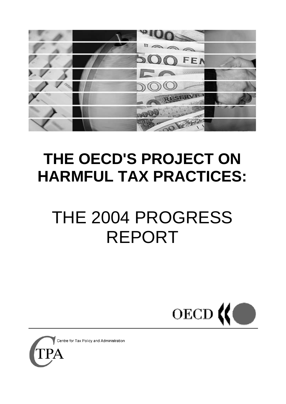

## **THE OECD'S PROJECT ON HARMFUL TAX PRACTICES:**

# THE 2004 PROGRESS REPORT



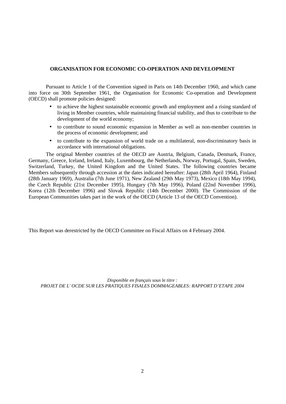#### **ORGANISATION FOR ECONOMIC CO-OPERATION AND DEVELOPMENT**

 Pursuant to Article 1 of the Convention signed in Paris on 14th December 1960, and which came into force on 30th September 1961, the Organisation for Economic Co-operation and Development (OECD) shall promote policies designed:

- to achieve the highest sustainable economic growth and employment and a rising standard of living in Member countries, while maintaining financial stability, and thus to contribute to the development of the world economy;
- to contribute to sound economic expansion in Member as well as non-member countries in the process of economic development; and
- to contribute to the expansion of world trade on a multilateral, non-discriminatory basis in accordance with international obligations.

 The original Member countries of the OECD are Austria, Belgium, Canada, Denmark, France, Germany, Greece, Iceland, Ireland, Italy, Luxembourg, the Netherlands, Norway, Portugal, Spain, Sweden, Switzerland, Turkey, the United Kingdom and the United States. The following countries became Members subsequently through accession at the dates indicated hereafter: Japan (28th April 1964), Finland (28th January 1969), Australia (7th June 1971), New Zealand (29th May 1973), Mexico (18th May 1994), the Czech Republic (21st December 1995), Hungary (7th May 1996), Poland (22nd November 1996), Korea (12th December 1996) and Slovak Republic (14th December 2000). The Commission of the European Communities takes part in the work of the OECD (Article 13 of the OECD Convention).

This Report was derestricted by the OECD Committee on Fiscal Affairs on 4 February 2004.

*Disponible en français sous le titre : PROJET DE L' OCDE SUR LES PRATIQUES FISALES DOMMAGEABLES: RAPPORT D'ETAPE 2004*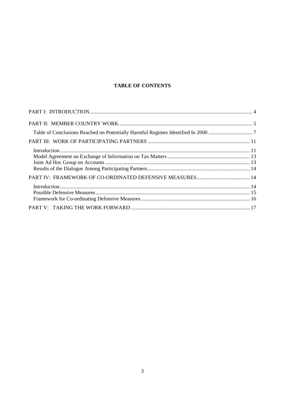### **TABLE OF CONTENTS**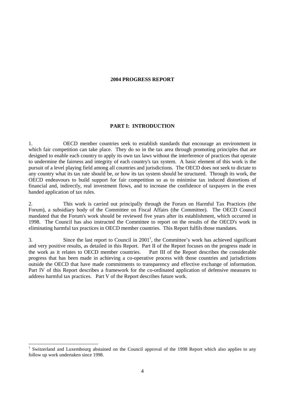#### **2004 PROGRESS REPORT**

#### **PART I: INTRODUCTION**

1. OECD member countries seek to establish standards that encourage an environment in which fair competition can take place. They do so in the tax area through promoting principles that are designed to enable each country to apply its own tax laws without the interference of practices that operate to undermine the fairness and integrity of each country's tax system. A basic element of this work is the pursuit of a level playing field among all countries and jurisdictions. The OECD does not seek to dictate to any country what its tax rate should be, or how its tax system should be structured. Through its work, the OECD endeavours to build support for fair competition so as to minimise tax induced distortions of financial and, indirectly, real investment flows, and to increase the confidence of taxpayers in the even handed application of tax rules.

2. This work is carried out principally through the Forum on Harmful Tax Practices (the Forum), a subsidiary body of the Committee on Fiscal Affairs (the Committee). The OECD Council mandated that the Forum's work should be reviewed five years after its establishment, which occurred in 1998. The Council has also instructed the Committee to report on the results of the OECD's work in eliminating harmful tax practices in OECD member countries. This Report fulfils those mandates.

3. Since the last report to Council in  $2001<sup>1</sup>$ , the Committee's work has achieved significant and very positive results, as detailed in this Report. Part II of the Report focuses on the progress made in the work as it relates to OECD member countries. Part III of the Report describes the considerable progress that has been made in achieving a co-operative process with those countries and jurisdictions outside the OECD that have made commitments to transparency and effective exchange of information. Part IV of this Report describes a framework for the co-ordinated application of defensive measures to address harmful tax practices. Part V of the Report describes future work.

<sup>1</sup> Switzerland and Luxembourg abstained on the Council approval of the 1998 Report which also applies to any follow up work undertaken since 1998.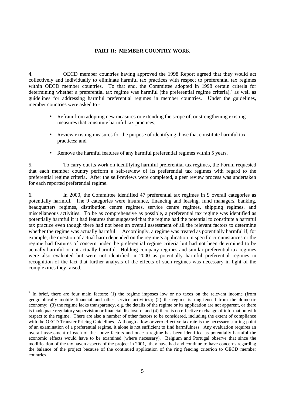#### **PART II: MEMBER COUNTRY WORK**

4. OECD member countries having approved the 1998 Report agreed that they would act collectively and individually to eliminate harmful tax practices with respect to preferential tax regimes within OECD member countries. To that end, the Committee adopted in 1998 certain criteria for determining whether a preferential tax regime was harmful (the preferential regime criteria), $2$  as well as guidelines for addressing harmful preferential regimes in member countries. Under the guidelines, member countries were asked to -

- Refrain from adopting new measures or extending the scope of, or strengthening existing measures that constitute harmful tax practices;
- Review existing measures for the purpose of identifying those that constitute harmful tax practices; and
- Remove the harmful features of any harmful preferential regimes within 5 years.

5. To carry out its work on identifying harmful preferential tax regimes, the Forum requested that each member country perform a self-review of its preferential tax regimes with regard to the preferential regime criteria. After the self-reviews were completed, a peer review process was undertaken for each reported preferential regime.

6. In 2000, the Committee identified 47 preferential tax regimes in 9 overall categories as potentially harmful. The 9 categories were insurance, financing and leasing, fund managers, banking, headquarters regimes, distribution centre regimes, service centre regimes, shipping regimes, and miscellaneous activities. To be as comprehensive as possible, a preferential tax regime was identified as potentially harmful if it had features that suggested that the regime had the potential to constitute a harmful tax practice even though there had not been an overall assessment of all the relevant factors to determine whether the regime was actually harmful. Accordingly, a regime was treated as potentially harmful if, for example, the question of actual harm depended on the regime's application in specific circumstances or the regime had features of concern under the preferential regime criteria but had not been determined to be actually harmful or not actually harmful. Holding company regimes and similar preferential tax regimes were also evaluated but were not identified in 2000 as potentially harmful preferential regimes in recognition of the fact that further analysis of the effects of such regimes was necessary in light of the complexities they raised.

 $\frac{1}{2}$ In brief, there are four main factors: (1) the regime imposes low or no taxes on the relevant income (from geographically mobile financial and other service activities); (2) the regime is ring-fenced from the domestic economy; (3) the regime lacks transparency, e.g. the details of the regime or its application are not apparent, or there is inadequate regulatory supervision or financial disclosure; and (4) there is no effective exchange of information with respect to the regime. There are also a number of other factors to be considered, including the extent of compliance with the OECD Transfer Pricing Guidelines. Although a low or zero effective tax rate is the necessary starting point of an examination of a preferential regime, it alone is not sufficient to find harmfulness. Any evaluation requires an overall assessment of each of the above factors and once a regime has been identified as potentially harmful the economic effects would have to be examined (where necessary). Belgium and Portugal observe that since the modification of the tax haven aspects of the project in 2001, they have had and continue to have concerns regarding the balance of the project because of the continued application of the ring fencing criterion to OECD member countries.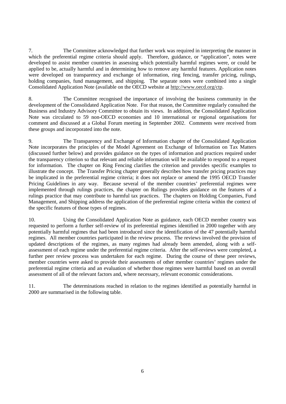7. The Committee acknowledged that further work was required in interpreting the manner in which the preferential regime criteria should apply. Therefore, guidance, or "application", notes were developed to assist member countries in assessing which potentially harmful regimes were, or could be applied to be, actually harmful and in determining how to remove any harmful features. Application notes were developed on transparency and exchange of information, ring fencing, transfer pricing, rulings, holding companies, fund management, and shipping. The separate notes were combined into a single Consolidated Application Note (available on the OECD website at http://www.oecd.org/ctp.

8. The Committee recognised the importance of involving the business community in the development of the Consolidated Application Note. For that reason, the Committee regularly consulted the Business and Industry Advisory Committee to obtain its views. In addition, the Consolidated Application Note was circulated to 59 non-OECD economies and 10 international or regional organisations for comment and discussed at a Global Forum meeting in September 2002. Comments were received from these groups and incorporated into the note.

9. The Transparency and Exchange of Information chapter of the Consolidated Application Note incorporates the principles of the Model Agreement on Exchange of Information on Tax Matters (discussed further below) and provides guidance on the types of information and practices required under the transparency criterion so that relevant and reliable information will be available to respond to a request for information. The chapter on Ring Fencing clarifies the criterion and provides specific examples to illustrate the concept. The Transfer Pricing chapter generally describes how transfer pricing practices may be implicated in the preferential regime criteria; it does not replace or amend the 1995 OECD Transfer Pricing Guidelines in any way. Because several of the member countries' preferential regimes were implemented through rulings practices, the chapter on Rulings provides guidance on the features of a rulings practice that may contribute to harmful tax practices. The chapters on Holding Companies, Fund Management, and Shipping address the application of the preferential regime criteria within the context of the specific features of those types of regimes.

10. Using the Consolidated Application Note as guidance, each OECD member country was requested to perform a further self-review of its preferential regimes identified in 2000 together with any potentially harmful regimes that had been introduced since the identification of the 47 potentially harmful regimes. All member countries participated in the review process. The reviews involved the provision of updated descriptions of the regimes, as many regimes had already been amended, along with a selfassessment of each regime under the preferential regime criteria. After the self-reviews were completed, a further peer review process was undertaken for each regime. During the course of these peer reviews, member countries were asked to provide their assessments of other member countries' regimes under the preferential regime criteria and an evaluation of whether those regimes were harmful based on an overall assessment of all of the relevant factors and, where necessary, relevant economic considerations.

11. The determinations reached in relation to the regimes identified as potentially harmful in 2000 are summarised in the following table.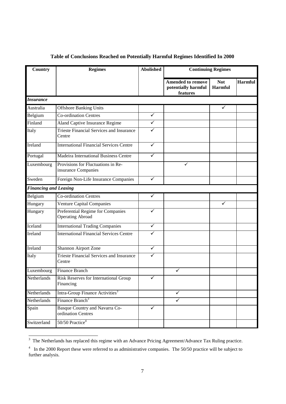| Country                      | <b>Regimes</b>                                               | <b>Abolished</b> | <b>Continuing Regimes</b>                                   |                              |                |  |
|------------------------------|--------------------------------------------------------------|------------------|-------------------------------------------------------------|------------------------------|----------------|--|
|                              |                                                              |                  | <b>Amended to remove</b><br>potentially harmful<br>features | <b>Not</b><br><b>Harmful</b> | <b>Harmful</b> |  |
| <b>Insurance</b>             |                                                              |                  |                                                             |                              |                |  |
| Australia                    | <b>Offshore Banking Units</b>                                |                  |                                                             | ✓                            |                |  |
| Belgium                      | <b>Co-ordination Centres</b>                                 | ✓                |                                                             |                              |                |  |
| Finland                      | Aland Captive Insurance Regime                               | ✓                |                                                             |                              |                |  |
| Italy                        | <b>Trieste Financial Services and Insurance</b><br>Centre    |                  |                                                             |                              |                |  |
| Ireland                      | <b>International Financial Services Centre</b>               | ✓                |                                                             |                              |                |  |
| Portugal                     | Madeira International Business Centre                        | ✓                |                                                             |                              |                |  |
| Luxembourg                   | Provisions for Fluctuations in Re-<br>insurance Companies    |                  | ✓                                                           |                              |                |  |
| Sweden                       | Foreign Non-Life Insurance Companies                         | ✓                |                                                             |                              |                |  |
| <b>Financing and Leasing</b> |                                                              |                  |                                                             |                              |                |  |
| Belgium                      | <b>Co-ordination Centres</b>                                 | $\checkmark$     |                                                             |                              |                |  |
| Hungary                      | <b>Venture Capital Companies</b>                             |                  |                                                             | ✓                            |                |  |
| Hungary                      | Preferential Regime for Companies<br><b>Operating Abroad</b> | ✓                |                                                             |                              |                |  |
| Iceland                      | <b>International Trading Companies</b>                       | $\checkmark$     |                                                             |                              |                |  |
| Ireland                      | <b>International Financial Services Centre</b>               | ✓                |                                                             |                              |                |  |
| Ireland                      | Shannon Airport Zone                                         | $\checkmark$     |                                                             |                              |                |  |
| Italy                        | <b>Trieste Financial Services and Insurance</b><br>Centre    | ✓                |                                                             |                              |                |  |
| Luxembourg                   | Finance Branch                                               |                  | ✓                                                           |                              |                |  |
| Netherlands                  | Risk Reserves for International Group<br>Financing           | ✓                |                                                             |                              |                |  |
| Netherlands                  | Intra-Group Finance Activities <sup>3</sup>                  |                  | ✓                                                           |                              |                |  |
| Netherlands                  | Finance Branch <sup>3</sup>                                  |                  | ✓                                                           |                              |                |  |
| Spain                        | <b>Basque Country and Navarra Co-</b><br>ordination Centres  |                  |                                                             |                              |                |  |
| Switzerland                  | 50/50 Practice <sup>4</sup>                                  |                  |                                                             |                              |                |  |

## **Table of Conclusions Reached on Potentially Harmful Regimes Identified In 2000**

<sup>&</sup>lt;sup>3</sup> The Netherlands has replaced this regime with an Advance Pricing Agreement/Advance Tax Ruling practice.

<sup>&</sup>lt;sup>4</sup> In the 2000 Report these were referred to as administrative companies. The 50/50 practice will be subject to further analysis.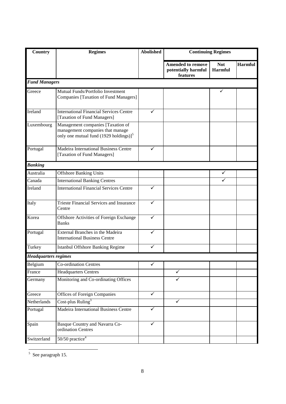| Country                     | <b>Regimes</b>                                                                                                              | <b>Abolished</b> | <b>Continuing Regimes</b>                                   |                              |                |  |
|-----------------------------|-----------------------------------------------------------------------------------------------------------------------------|------------------|-------------------------------------------------------------|------------------------------|----------------|--|
|                             |                                                                                                                             |                  | <b>Amended to remove</b><br>potentially harmful<br>features | <b>Not</b><br><b>Harmful</b> | <b>Harmful</b> |  |
| <b>Fund Managers</b>        |                                                                                                                             |                  |                                                             |                              |                |  |
| Greece                      | Mutual Funds/Portfolio Investment<br><b>Companies [Taxation of Fund Managers]</b>                                           |                  |                                                             | ✓                            |                |  |
| <b>I</b> reland             | <b>International Financial Services Centre</b><br>[Taxation of Fund Managers]                                               | ✓                |                                                             |                              |                |  |
| Luxembourg                  | Management companies [Taxation of<br>management companies that manage<br>only one mutual fund (1929 holdings)] <sup>5</sup> |                  |                                                             |                              |                |  |
| Portugal                    | Madeira International Business Centre<br>[Taxation of Fund Managers]                                                        | ✓                |                                                             |                              |                |  |
| <b>Banking</b>              |                                                                                                                             |                  |                                                             |                              |                |  |
| Australia                   | <b>Offshore Banking Units</b>                                                                                               |                  |                                                             | ✓                            |                |  |
| Canada                      | <b>International Banking Centres</b>                                                                                        |                  |                                                             | ✓                            |                |  |
| Ireland                     | <b>International Financial Services Centre</b>                                                                              | ✓                |                                                             |                              |                |  |
| Italy                       | <b>Trieste Financial Services and Insurance</b><br>Centre                                                                   | ✓                |                                                             |                              |                |  |
| Korea                       | Offshore Activities of Foreign Exchange<br><b>Banks</b>                                                                     | ✓                |                                                             |                              |                |  |
| Portugal                    | External Branches in the Madeira<br><b>International Business Centre</b>                                                    | ✓                |                                                             |                              |                |  |
| Turkey                      | <b>Istanbul Offshore Banking Regime</b>                                                                                     | ✓                |                                                             |                              |                |  |
| <b>Headquarters regimes</b> |                                                                                                                             |                  |                                                             |                              |                |  |
| Belgium                     | Co-ordination Centres                                                                                                       | ✓                |                                                             |                              |                |  |
| France                      | <b>Headquarters Centres</b>                                                                                                 |                  | ✓                                                           |                              |                |  |
| Germany                     | Monitoring and Co-ordinating Offices                                                                                        |                  | ✓                                                           |                              |                |  |
| Greece                      | <b>Offices of Foreign Companies</b>                                                                                         | $\checkmark$     |                                                             |                              |                |  |
| Netherlands                 | Cost-plus Ruling <sup>3</sup>                                                                                               |                  | ✓                                                           |                              |                |  |
| Portugal                    | Madeira International Business Centre                                                                                       | ✓                |                                                             |                              |                |  |
| Spain                       | <b>Basque Country and Navarra Co-</b><br>ordination Centres                                                                 | ✓                |                                                             |                              |                |  |
| Switzerland                 | $50/50$ practice <sup>4</sup>                                                                                               |                  |                                                             |                              |                |  |

 5 See paragraph 15.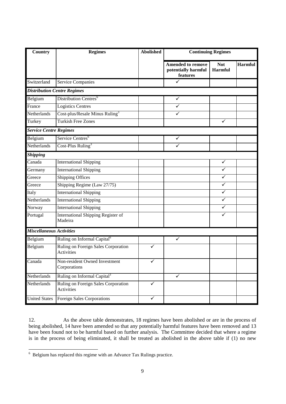| Country                         | <b>Regimes</b>                                    | <b>Abolished</b> | <b>Continuing Regimes</b>                                   |                              |                |
|---------------------------------|---------------------------------------------------|------------------|-------------------------------------------------------------|------------------------------|----------------|
|                                 |                                                   |                  | <b>Amended to remove</b><br>potentially harmful<br>features | <b>Not</b><br><b>Harmful</b> | <b>Harmful</b> |
| Switzerland                     | <b>Service Companies</b>                          |                  | ✓                                                           |                              |                |
|                                 | <b>Distribution Centre Regimes</b>                |                  |                                                             |                              |                |
| Belgium                         | Distribution Centres <sup>6</sup>                 |                  | ✓                                                           |                              |                |
| France                          | <b>Logistics Centres</b>                          |                  | ✓                                                           |                              |                |
| Netherlands                     | Cost-plus/Resale Minus Ruling <sup>3</sup>        |                  |                                                             |                              |                |
| Turkey                          | <b>Turkish Free Zones</b>                         |                  |                                                             |                              |                |
| <b>Service Centre Regimes</b>   |                                                   |                  |                                                             |                              |                |
| Belgium                         | Service Centres <sup>6</sup>                      |                  | ✓                                                           |                              |                |
| Netherlands                     | Cost-Plus Ruling <sup>3</sup>                     |                  |                                                             |                              |                |
| <b>Shipping</b>                 |                                                   |                  |                                                             |                              |                |
| $\overline{C}$ anada            | <b>International Shipping</b>                     |                  |                                                             | ✓                            |                |
| Germany                         | <b>International Shipping</b>                     |                  |                                                             | ✓                            |                |
| Greece                          | <b>Shipping Offices</b>                           |                  |                                                             |                              |                |
| Greece                          | Shipping Regime (Law 27/75)                       |                  |                                                             |                              |                |
| Italy                           | <b>International Shipping</b>                     |                  |                                                             | ✓                            |                |
| Netherlands                     | <b>International Shipping</b>                     |                  |                                                             | ✓                            |                |
| Norway                          | <b>International Shipping</b>                     |                  |                                                             | ✓                            |                |
| Portugal                        | International Shipping Register of<br>Madeira     |                  |                                                             |                              |                |
| <b>Miscellaneous Activities</b> |                                                   |                  |                                                             |                              |                |
| Belgium                         | Ruling on Informal Capital <sup>6</sup>           |                  | ✓                                                           |                              |                |
| Belgium                         | Ruling on Foreign Sales Corporation<br>Activities | ✓                |                                                             |                              |                |
| Canada                          | Non-resident Owned Investment<br>Corporations     | ✓                |                                                             |                              |                |
| Netherlands                     | Ruling on Informal Capital <sup>3</sup>           |                  | ✓                                                           |                              |                |
| Netherlands                     | Ruling on Foreign Sales Corporation<br>Activities | ✓                |                                                             |                              |                |
| <b>United States</b>            | Foreign Sales Corporations                        | ✓                |                                                             |                              |                |

12. As the above table demonstrates, 18 regimes have been abolished or are in the process of being abolished, 14 have been amended so that any potentially harmful features have been removed and 13 have been found not to be harmful based on further analysis. The Committee decided that where a regime is in the process of being eliminated, it shall be treated as abolished in the above table if (1) no new

 6 Belgium has replaced this regime with an Advance Tax Rulings practice.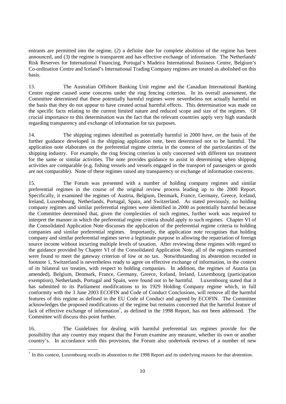entrants are permitted into the regime, (2) a definite date for complete abolition of the regime has been announced, and (3) the regime is transparent and has effective exchange of information. The Netherlands' Risk Reserves for International Financing, Portugal's Madeira International Business Centre, Belgium's Co-ordination Centre and Iceland's International Trading Company regimes are treated as abolished on this basis.

13. The Australian Offshore Banking Unit regime and the Canadian International Banking Centre regime caused some concerns under the ring fencing criterion. In its overall assessment, the Committee determined that these potentially harmful regimes were nevertheless not actually harmful on the basis that they do not appear to have created actual harmful effects. This determination was made on the specific facts relating to the current limited nature and reduced scope and size of the regimes. Of crucial importance to this determination was the fact that the relevant countries apply very high standards regarding transparency and exchange of information for tax purposes.

14. The shipping regimes identified as potentially harmful in 2000 have, on the basis of the further guidance developed in the shipping application note, been determined not to be harmful. The application note elaborates on the preferential regime criteria in the context of the particularities of the shipping industry. For example, the ring fencing criterion is only concerned with different tax treatment for the same or similar activities. The note provides guidance to assist in determining when shipping activities are comparable (e.g. fishing vessels and vessels engaged in the transport of passengers or goods are not comparable). None of these regimes raised any transparency or exchange of information concerns.

15. The Forum was presented with a number of holding company regimes and similar preferential regimes in the course of the original review process leading up to the 2000 Report. Specifically, it examined the regimes of Austria, Belgium, Denmark, France, Germany, Greece, Iceland, Ireland, Luxembourg, Netherlands, Portugal, Spain, and Switzerland. As stated previously, no holding company regimes and similar preferential regimes were identified in 2000 as potentially harmful because the Committee determined that, given the complexities of such regimes, further work was required to interpret the manner in which the preferential regime criteria should apply to such regimes. Chapter VI of the Consolidated Application Note discusses the application of the preferential regime criteria to holding companies and similar preferential regimes. Importantly, the application note recognises that holding company and similar preferential regimes serve a legitimate purpose in allowing the repatriation of foreign source income without incurring multiple levels of taxation. After reviewing these regimes with regard to the guidance provided by Chapter VI of the Consolidated Application Note, all of the regimes examined were found to meet the gateway criterion of low or no tax. Notwithstanding its abstention recorded in footnote 1, Switzerland is nevertheless ready to agree on effective exchange of information, in the context of its bilateral tax treaties, with respect to holding companies. In addition, the regimes of Austria (as amended), Belgium, Denmark, France, Germany, Greece, Iceland, Ireland, Luxembourg (participation exemption), Netherlands, Portugal and Spain, were found not to be harmful. Luxembourg stated that it has submitted to its Parliament modifications to its 1929 Holding Company regime which, in full conformity with the 3 June 2003 ECOFIN and Code of Conduct Conclusions, will remove all the harmful features of this regime as defined in the EU Code of Conduct and agreed by ECOFIN. The Committee acknowledges the proposed modifications of the regime but remains concerned that the harmful feature of lack of effective exchange of information<sup>7</sup>, as defined in the 1998 Report, has not been addressed. The Committee will discuss this point further.

16. The Guidelines for dealing with harmful preferential tax regimes provide for the possibility that any country may request that the Forum examine any measure, whether its own or another country's. In accordance with this provision, the Forum also undertook reviews of a number of new

 $\overline{a}$ 

 $<sup>7</sup>$  In this context, Luxembourg recalls its abstention to the 1998 Report and its underlying reasons for that abstention.</sup>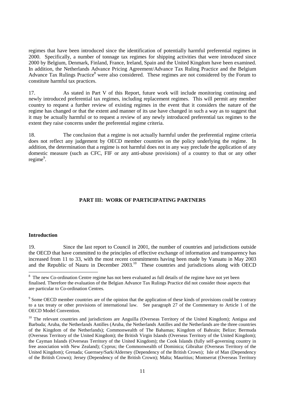regimes that have been introduced since the identification of potentially harmful preferential regimes in 2000. Specifically, a number of tonnage tax regimes for shipping activities that were introduced since 2000 by Belgium, Denmark, Finland, France, Ireland, Spain and the United Kingdom have been examined. In addition, the Netherlands Advance Pricing Agreement/Advance Tax Ruling Practice and the Belgium Advance Tax Rulings Practice<sup>8</sup> were also considered. These regimes are not considered by the Forum to constitute harmful tax practices.

17. As stated in Part V of this Report, future work will include monitoring continuing and newly introduced preferential tax regimes, including replacement regimes. This will permit any member country to request a further review of existing regimes in the event that it considers the nature of the regime has changed or that the extent and manner of its use have changed in such a way as to suggest that it may be actually harmful or to request a review of any newly introduced preferential tax regimes to the extent they raise concerns under the preferential regime criteria.

18. The conclusion that a regime is not actually harmful under the preferential regime criteria does not reflect any judgement by OECD member countries on the policy underlying the regime. In addition, the determination that a regime is not harmful does not in any way preclude the application of any domestic measure (such as CFC, FIF or any anti-abuse provisions) of a country to that or any other regime<sup>9</sup>.

#### **PART III: WORK OF PARTICIPATING PARTNERS**

#### **Introduction**

19. Since the last report to Council in 2001, the number of countries and jurisdictions outside the OECD that have committed to the principles of effective exchange of information and transparency has increased from 11 to 33, with the most recent commitments having been made by Vanuatu in May 2003 and the Republic of Nauru in December 2003.<sup>10</sup> These countries and jurisdictions along with OECD

<sup>&</sup>lt;sup>8</sup> The new Co-ordination Centre regime has not been evaluated as full details of the regime have not yet been finalised. Therefore the evaluation of the Belgian Advance Tax Rulings Practice did not consider those aspects that are particular to Co-ordination Centres.

 $9^9$  Some OECD member countries are of the opinion that the application of these kinds of provisions could be contrary to a tax treaty or other provisions of international law. See paragraph 27 of the Commentary to Article 1 of the OECD Model Convention.

<sup>&</sup>lt;sup>10</sup> The relevant countries and jurisdictions are Anguilla (Overseas Territory of the United Kingdom); Antigua and Barbuda; Aruba, the Netherlands Antilles (Aruba, the Netherlands Antilles and the Netherlands are the three countries of the Kingdom of the Netherlands); Commonwealth of The Bahamas; Kingdom of Bahrain; Belize; Bermuda (Overseas Territory of the United Kingdom); the British Virgin Islands (Overseas Territory of the United Kingdom); the Cayman Islands (Overseas Territory of the United Kingdom); the Cook Islands (fully self-governing country in free association with New Zealand); Cyprus; the Commonwealth of Dominica; Gibraltar (Overseas Territory of the United Kingdom); Grenada; Guernsey/Sark/Alderney (Dependency of the British Crown); Isle of Man (Dependency of the British Crown); Jersey (Dependency of the British Crown); Malta; Mauritius; Montserrat (Overseas Territory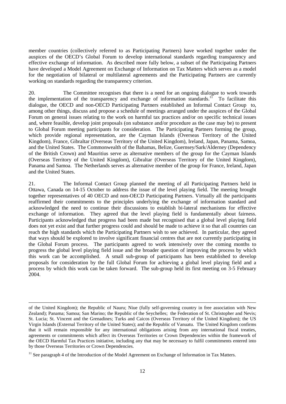member countries (collectively referred to as Participating Partners) have worked together under the auspices of the OECD's Global Forum to develop international standards regarding transparency and effective exchange of information. As described more fully below, a subset of the Participating Partners have developed a Model Agreement on Exchange of Information on Tax Matters which serves as a model for the negotiation of bilateral or multilateral agreements and the Participating Partners are currently working on standards regarding the transparency criterion.

20. The Committee recognises that there is a need for an ongoing dialogue to work towards the implementation of the transparency and exchange of information standards.<sup>11</sup> To facilitate this dialogue, the OECD and non-OECD Participating Partners established an Informal Contact Group to, among other things, discuss and propose a schedule of meetings arranged under the auspices of the Global Forum on general issues relating to the work on harmful tax practices and/or on specific technical issues and, where feasible, develop joint proposals (on substance and/or procedure as the case may be) to present to Global Forum meeting participants for consideration. The Participating Partners forming the group, which provide regional representation, are the Cayman Islands (Overseas Territory of the United Kingdom), France, Gibraltar (Overseas Territory of the United Kingdom), Ireland, Japan, Panama, Samoa, and the United States. The Commonwealth of the Bahamas, Belize, Guernsey/Sark/Alderney (Dependency of the British Crown) and Mauritius serve as alternative members of the group for the Cayman Islands (Overseas Territory of the United Kingdom), Gibraltar (Overseas Territory of the United Kingdom), Panama and Samoa. The Netherlands serves as alternative member of the group for France, Ireland, Japan and the United States.

21. The Informal Contact Group planned the meeting of all Participating Partners held in Ottawa, Canada on 14-15 October to address the issue of the level playing field. The meeting brought together representatives of 40 OECD and non-OECD Participating Partners. Virtually all the participants reaffirmed their commitments to the principles underlying the exchange of information standard and acknowledged the need to continue their discussions to establish bi-lateral mechanisms for effective exchange of information. They agreed that the level playing field is fundamentally about fairness. Participants acknowledged that progress had been made but recognised that a global level playing field does not yet exist and that further progress could and should be made to achieve it so that all countries can reach the high standards which the Participating Partners wish to see achieved. In particular, they agreed that ways should be explored to involve significant financial centres that are not currently participating in the Global Forum process. The participants agreed to work intensively over the coming months to progress the global level playing field issue and the broader question of improving the process by which this work can be accomplished. A small sub-group of participants has been established to develop proposals for consideration by the full Global Forum for achieving a global level playing field and a process by which this work can be taken forward. The sub-group held its first meeting on 3-5 February 2004.

-

of the United Kingdom); the Republic of Nauru; Niue (fully self-governing country in free association with New Zealand); Panama; Samoa; San Marino; the Republic of the Seychelles; the Federation of St. Christopher and Nevis; St. Lucia; St. Vincent and the Grenadines; Turks and Caicos (Overseas Territory of the United Kingdom); the US Virgin Islands (External Territory of the United States); and the Republic of Vanuatu. The United Kingdom confirms that it will remain responsible for any international obligations arising from any international fiscal treaties, agreements or commitments which affect its Overseas Territories or Crown Dependencies within the framework of the OECD Harmful Tax Practices initiative, including any that may be necessary to fulfil commitments entered into by those Overseas Territories or Crown Dependencies.

<sup>&</sup>lt;sup>11</sup> See paragraph 4 of the Introduction of the Model Agreement on Exchange of Information in Tax Matters.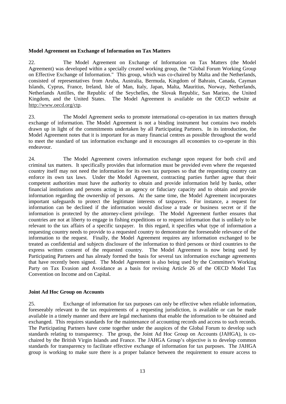#### **Model Agreement on Exchange of Information on Tax Matters**

22. The Model Agreement on Exchange of Information on Tax Matters (the Model Agreement) was developed within a specially created working group, the "Global Forum Working Group on Effective Exchange of Information." This group, which was co-chaired by Malta and the Netherlands, consisted of representatives from Aruba, Australia, Bermuda, Kingdom of Bahrain, Canada, Cayman Islands, Cyprus, France, Ireland, Isle of Man, Italy, Japan, Malta, Mauritius, Norway, Netherlands, Netherlands Antilles, the Republic of the Seychelles, the Slovak Republic, San Marino, the United Kingdom, and the United States. The Model Agreement is available on the OECD website at http://www.oecd.org/ctp.

23. The Model Agreement seeks to promote international co-operation in tax matters through exchange of information. The Model Agreement is not a binding instrument but contains two models drawn up in light of the commitments undertaken by all Participating Partners. In its introduction, the Model Agreement notes that it is important for as many financial centres as possible throughout the world to meet the standard of tax information exchange and it encourages all economies to co-operate in this endeavour.

24. The Model Agreement covers information exchange upon request for both civil and criminal tax matters. It specifically provides that information must be provided even where the requested country itself may not need the information for its own tax purposes so that the requesting country can enforce its own tax laws. Under the Model Agreement, contracting parties further agree that their competent authorities must have the authority to obtain and provide information held by banks, other financial institutions and persons acting in an agency or fiduciary capacity and to obtain and provide information regarding the ownership of persons. At the same time, the Model Agreement incorporates important safeguards to protect the legitimate interests of taxpayers. For instance, a request for information can be declined if the information would disclose a trade or business secret or if the information is protected by the attorney-client privilege. The Model Agreement further ensures that countries are not at liberty to engage in fishing expeditions or to request information that is unlikely to be relevant to the tax affairs of a specific taxpayer. In this regard, it specifies what type of information a requesting country needs to provide to a requested country to demonstrate the foreseeable relevance of the information to the request. Finally, the Model Agreement requires any information exchanged to be treated as confidential and subjects disclosure of the information to third persons or third countries to the express written consent of the requested country. The Model Agreement is now being used by Participating Partners and has already formed the basis for several tax information exchange agreements that have recently been signed. The Model Agreement is also being used by the Committee's Working Party on Tax Evasion and Avoidance as a basis for revising Article 26 of the OECD Model Tax Convention on Income and on Capital.

#### **Joint Ad Hoc Group on Accounts**

25. Exchange of information for tax purposes can only be effective when reliable information, foreseeably relevant to the tax requirements of a requesting jurisdiction, is available or can be made available in a timely manner and there are legal mechanisms that enable the information to be obtained and exchanged. This requires standards for the maintenance of accounting records and access to such records. The Participating Partners have come together under the auspices of the Global Forum to develop such standards relating to transparency. The group, the Joint Ad Hoc Group on Accounts (JAHGA), is cochaired by the British Virgin Islands and France. The JAHGA Group's objective is to develop common standards for transparency to facilitate effective exchange of information for tax purposes. The JAHGA group is working to make sure there is a proper balance between the requirement to ensure access to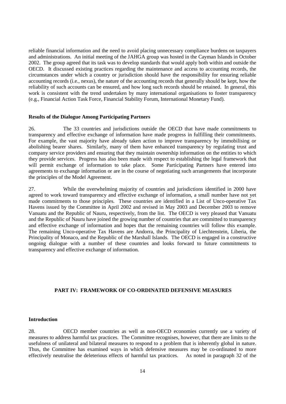reliable financial information and the need to avoid placing unnecessary compliance burdens on taxpayers and administrations. An initial meeting of the JAHGA group was hosted in the Cayman Islands in October 2002. The group agreed that its task was to develop standards that would apply both within and outside the OECD. It discussed existing practices regarding the maintenance and access to accounting records, the circumstances under which a country or jurisdiction should have the responsibility for ensuring reliable accounting records (i.e., nexus), the nature of the accounting records that generally should be kept, how the reliability of such accounts can be ensured, and how long such records should be retained. In general, this work is consistent with the trend undertaken by many international organisations to foster transparency (e.g., Financial Action Task Force, Financial Stability Forum, International Monetary Fund).

#### **Results of the Dialogue Among Participating Partners**

26. The 33 countries and jurisdictions outside the OECD that have made commitments to transparency and effective exchange of information have made progress in fulfilling their commitments. For example, the vast majority have already taken action to improve transparency by immobilising or abolishing bearer shares. Similarly, many of them have enhanced transparency by regulating trust and company service providers and ensuring that they maintain ownership information on the entities to which they provide services. Progress has also been made with respect to establishing the legal framework that will permit exchange of information to take place. Some Participating Partners have entered into agreements to exchange information or are in the course of negotiating such arrangements that incorporate the principles of the Model Agreement.

27. While the overwhelming majority of countries and jurisdictions identified in 2000 have agreed to work toward transparency and effective exchange of information, a small number have not yet made commitments to those principles. These countries are identified in a List of Unco-operative Tax Havens issued by the Committee in April 2002 and revised in May 2003 and December 2003 to remove Vanuatu and the Republic of Nauru, respectively, from the list. The OECD is very pleased that Vanuatu and the Republic of Nauru have joined the growing number of countries that are committed to transparency and effective exchange of information and hopes that the remaining countries will follow this example. The remaining Unco-operative Tax Havens are Andorra, the Principality of Liechtenstein, Liberia, the Principality of Monaco, and the Republic of the Marshall Islands. The OECD is engaged in a constructive ongoing dialogue with a number of these countries and looks forward to future commitments to transparency and effective exchange of information.

#### **PART IV: FRAMEWORK OF CO-ORDINATED DEFENSIVE MEASURES**

#### **Introduction**

28. OECD member countries as well as non-OECD economies currently use a variety of measures to address harmful tax practices. The Committee recognises, however, that there are limits to the usefulness of unilateral and bilateral measures to respond to a problem that is inherently global in nature. Thus, the Committee has examined ways in which defensive measures may be co-ordinated to more effectively neutralise the deleterious effects of harmful tax practices. As noted in paragraph 32 of the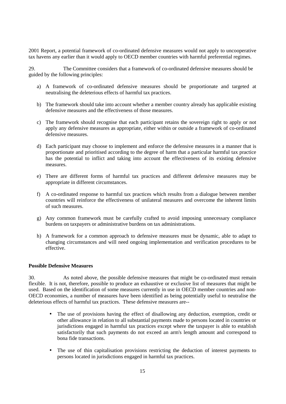2001 Report, a potential framework of co-ordinated defensive measures would not apply to uncooperative tax havens any earlier than it would apply to OECD member countries with harmful preferential regimes.

29. The Committee considers that a framework of co-ordinated defensive measures should be guided by the following principles:

- a) A framework of co-ordinated defensive measures should be proportionate and targeted at neutralising the deleterious effects of harmful tax practices.
- b) The framework should take into account whether a member country already has applicable existing defensive measures and the effectiveness of those measures.
- c) The framework should recognise that each participant retains the sovereign right to apply or not apply any defensive measures as appropriate, either within or outside a framework of co-ordinated defensive measures.
- d) Each participant may choose to implement and enforce the defensive measures in a manner that is proportionate and prioritised according to the degree of harm that a particular harmful tax practice has the potential to inflict and taking into account the effectiveness of its existing defensive measures.
- e) There are different forms of harmful tax practices and different defensive measures may be appropriate in different circumstances.
- f) A co-ordinated response to harmful tax practices which results from a dialogue between member countries will reinforce the effectiveness of unilateral measures and overcome the inherent limits of such measures.
- g) Any common framework must be carefully crafted to avoid imposing unnecessary compliance burdens on taxpayers or administrative burdens on tax administrations.
- h) A framework for a common approach to defensive measures must be dynamic, able to adapt to changing circumstances and will need ongoing implementation and verification procedures to be effective.

#### **Possible Defensive Measures**

30. As noted above, the possible defensive measures that might be co-ordinated must remain flexible. It is not, therefore, possible to produce an exhaustive or exclusive list of measures that might be used. Based on the identification of some measures currently in use in OECD member countries and non-OECD economies, a number of measures have been identified as being potentially useful to neutralise the deleterious effects of harmful tax practices. These defensive measures are--

- The use of provisions having the effect of disallowing any deduction, exemption, credit or other allowance in relation to all substantial payments made to persons located in countries or jurisdictions engaged in harmful tax practices except where the taxpayer is able to establish satisfactorily that such payments do not exceed an arm's length amount and correspond to bona fide transactions.
- The use of thin capitalisation provisions restricting the deduction of interest payments to persons located in jurisdictions engaged in harmful tax practices.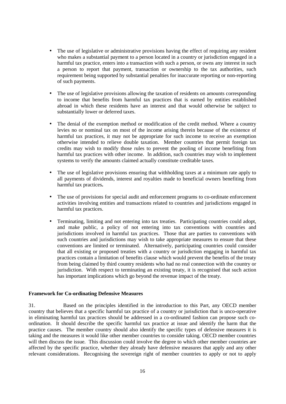- The use of legislative or administrative provisions having the effect of requiring any resident who makes a substantial payment to a person located in a country or jurisdiction engaged in a harmful tax practice, enters into a transaction with such a person, or owns any interest in such a person to report that payment, transaction or ownership to the tax authorities, such requirement being supported by substantial penalties for inaccurate reporting or non-reporting of such payments.
- The use of legislative provisions allowing the taxation of residents on amounts corresponding to income that benefits from harmful tax practices that is earned by entities established abroad in which these residents have an interest and that would otherwise be subject to substantially lower or deferred taxes.
- The denial of the exemption method or modification of the credit method. Where a country levies no or nominal tax on most of the income arising therein because of the existence of harmful tax practices, it may not be appropriate for such income to receive an exemption otherwise intended to relieve double taxation. Member countries that permit foreign tax credits may wish to modify those rules to prevent the pooling of income benefiting from harmful tax practices with other income. In addition, such countries may wish to implement systems to verify the amounts claimed actually constitute creditable taxes.
- The use of legislative provisions ensuring that withholding taxes at a minimum rate apply to all payments of dividends, interest and royalties made to beneficial owners benefiting from harmful tax practices**.**
- The use of provisions for special audit and enforcement programs to co-ordinate enforcement activities involving entities and transactions related to countries and jurisdictions engaged in harmful tax practices.
- Terminating, limiting and not entering into tax treaties. Participating countries could adopt, and make public, a policy of not entering into tax conventions with countries and jurisdictions involved in harmful tax practices. Those that are parties to conventions with such countries and jurisdictions may wish to take appropriate measures to ensure that these conventions are limited or terminated. Alternatively, participating countries could consider that all existing or proposed treaties with a country or jurisdiction engaging in harmful tax practices contain a limitation of benefits clause which would prevent the benefits of the treaty from being claimed by third country residents who had no real connection with the country or jurisdiction. With respect to terminating an existing treaty, it is recognised that such action has important implications which go beyond the revenue impact of the treaty.

#### **Framework for Co-ordinating Defensive Measures**

31. Based on the principles identified in the introduction to this Part, any OECD member country that believes that a specific harmful tax practice of a country or jurisdiction that is unco-operative in eliminating harmful tax practices should be addressed in a co-ordinated fashion can propose such coordination. It should describe the specific harmful tax practice at issue and identify the harm that the practice causes. The member country should also identify the specific types of defensive measures it is taking and the measures it would like other member countries to consider taking. OECD member countries will then discuss the issue. This discussion could involve the degree to which other member countries are affected by the specific practice, whether they already have defensive measures that apply and any other relevant considerations. Recognising the sovereign right of member countries to apply or not to apply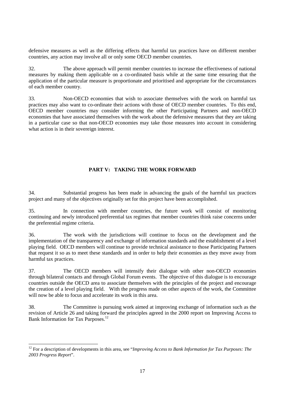defensive measures as well as the differing effects that harmful tax practices have on different member countries, any action may involve all or only some OECD member countries.

32. The above approach will permit member countries to increase the effectiveness of national measures by making them applicable on a co-ordinated basis while at the same time ensuring that the application of the particular measure is proportionate and prioritised and appropriate for the circumstances of each member country.

33. Non-OECD economies that wish to associate themselves with the work on harmful tax practices may also want to co-ordinate their actions with those of OECD member countries. To this end, OECD member countries may consider informing the other Participating Partners and non-OECD economies that have associated themselves with the work about the defensive measures that they are taking in a particular case so that non-OECD economies may take those measures into account in considering what action is in their sovereign interest.

#### **PART V: TAKING THE WORK FORWARD**

34. Substantial progress has been made in advancing the goals of the harmful tax practices project and many of the objectives originally set for this project have been accomplished.

35. In connection with member countries, the future work will consist of monitoring continuing and newly introduced preferential tax regimes that member countries think raise concerns under the preferential regime criteria.

36. The work with the jurisdictions will continue to focus on the development and the implementation of the transparency and exchange of information standards and the establishment of a level playing field. OECD members will continue to provide technical assistance to those Participating Partners that request it so as to meet these standards and in order to help their economies as they move away from harmful tax practices.

37. The OECD members will intensify their dialogue with other non-OECD economies through bilateral contacts and through Global Forum events. The objective of this dialogue is to encourage countries outside the OECD area to associate themselves with the principles of the project and encourage the creation of a level playing field. With the progress made on other aspects of the work, the Committee will now be able to focus and accelerate its work in this area.

38. The Committee is pursuing work aimed at improving exchange of information such as the revision of Article 26 and taking forward the principles agreed in the 2000 report on Improving Access to Bank Information for Tax Purposes.<sup>12</sup>

<sup>&</sup>lt;sup>12</sup> For a description of developments in this area, see "*Improving Access to Bank Information for Tax Purposes: The 2003 Progress Report*".